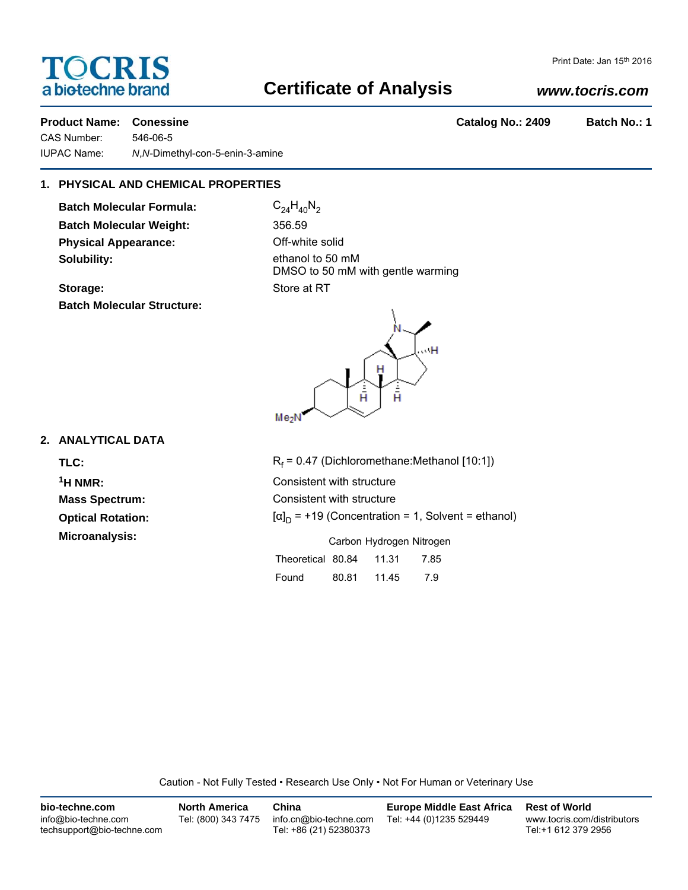# **TOCRIS** a biotechne brand

# **Certificate of Analysis**

### *www.tocris.com*

**Product Name: Conessine Catalog No.: 2409 Batch No.: 1** 

CAS Number: 546-06-5 IUPAC Name: *N*,*N*-Dimethyl-con-5-enin-3-amine

## **1. PHYSICAL AND CHEMICAL PROPERTIES**

**Batch Molecular Formula:** C<sub>24</sub>H<sub>40</sub>N<sub>2</sub> **Batch Molecular Weight:** 356.59 **Physical Appearance:** Off-white solid **Solubility:** ethanol to 50 mM

**Batch Molecular Structure:**

DMSO to 50 mM with gentle warming **Storage:** Store at RT



### **2. ANALYTICAL DATA**

TLC: R<sub>f</sub>  $1H NMR$ : **Mass Spectrum: Optical Rotation: Microanalysis:** 

| $R_f$ = 0.47 (Dichloromethane: Methanol [10:1])           |             |  |     |  |  |  |  |
|-----------------------------------------------------------|-------------|--|-----|--|--|--|--|
| Consistent with structure                                 |             |  |     |  |  |  |  |
| Consistent with structure                                 |             |  |     |  |  |  |  |
| $[\alpha]_D$ = +19 (Concentration = 1, Solvent = ethanol) |             |  |     |  |  |  |  |
| Carbon Hydrogen Nitrogen                                  |             |  |     |  |  |  |  |
| Theoretical 80.84 11.31 7.85                              |             |  |     |  |  |  |  |
| Found                                                     | 80.81 11.45 |  | 7.9 |  |  |  |  |

Caution - Not Fully Tested • Research Use Only • Not For Human or Veterinary Use

| bio-techne.com                                    | <b>North America</b> | China                                            | <b>Europe Middle East Africa</b> | <b>Rest of World</b>                               |
|---------------------------------------------------|----------------------|--------------------------------------------------|----------------------------------|----------------------------------------------------|
| info@bio-techne.com<br>techsupport@bio-techne.com | Tel: (800) 343 7475  | info.cn@bio-techne.com<br>Tel: +86 (21) 52380373 | Tel: +44 (0)1235 529449          | www.tocris.com/distributors<br>Tel:+1 612 379 2956 |